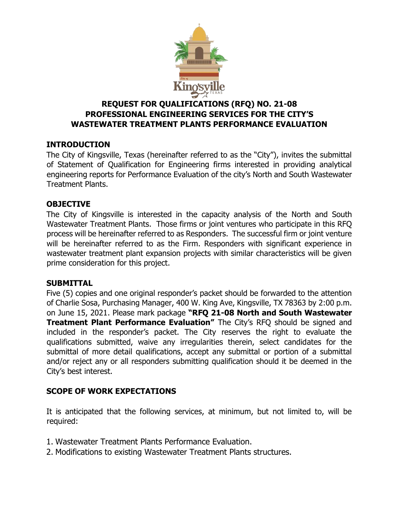

# **REQUEST FOR QUALIFICATIONS (RFQ) NO. 21-08 PROFESSIONAL ENGINEERING SERVICES FOR THE CITY'S WASTEWATER TREATMENT PLANTS PERFORMANCE EVALUATION**

## **INTRODUCTION**

The City of Kingsville, Texas (hereinafter referred to as the "City"), invites the submittal of Statement of Qualification for Engineering firms interested in providing analytical engineering reports for Performance Evaluation of the city's North and South Wastewater Treatment Plants.

#### **OBJECTIVE**

The City of Kingsville is interested in the capacity analysis of the North and South Wastewater Treatment Plants. Those firms or joint ventures who participate in this RFQ process will be hereinafter referred to as Responders. The successful firm or joint venture will be hereinafter referred to as the Firm. Responders with significant experience in wastewater treatment plant expansion projects with similar characteristics will be given prime consideration for this project.

#### **SUBMITTAL**

Five (5) copies and one original responder's packet should be forwarded to the attention of Charlie Sosa, Purchasing Manager, 400 W. King Ave, Kingsville, TX 78363 by 2:00 p.m. on June 15, 2021. Please mark package **"RFQ 21-08 North and South Wastewater Treatment Plant Performance Evaluation"** The City's RFQ should be signed and included in the responder's packet. The City reserves the right to evaluate the qualifications submitted, waive any irregularities therein, select candidates for the submittal of more detail qualifications, accept any submittal or portion of a submittal and/or reject any or all responders submitting qualification should it be deemed in the City's best interest.

## **SCOPE OF WORK EXPECTATIONS**

It is anticipated that the following services, at minimum, but not limited to, will be required:

- 1. Wastewater Treatment Plants Performance Evaluation.
- 2. Modifications to existing Wastewater Treatment Plants structures.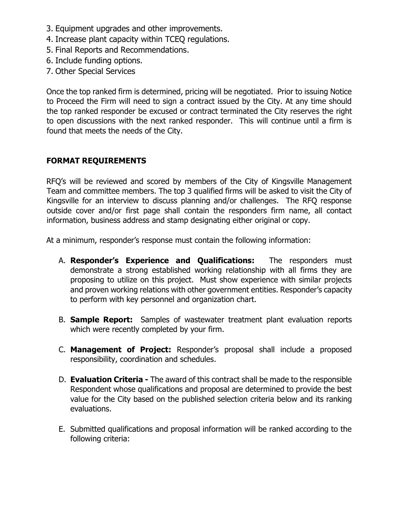- 3. Equipment upgrades and other improvements.
- 4. Increase plant capacity within TCEQ regulations.
- 5. Final Reports and Recommendations.
- 6. Include funding options.
- 7. Other Special Services

Once the top ranked firm is determined, pricing will be negotiated. Prior to issuing Notice to Proceed the Firm will need to sign a contract issued by the City. At any time should the top ranked responder be excused or contract terminated the City reserves the right to open discussions with the next ranked responder. This will continue until a firm is found that meets the needs of the City.

### **FORMAT REQUIREMENTS**

RFQ's will be reviewed and scored by members of the City of Kingsville Management Team and committee members. The top 3 qualified firms will be asked to visit the City of Kingsville for an interview to discuss planning and/or challenges. The RFQ response outside cover and/or first page shall contain the responders firm name, all contact information, business address and stamp designating either original or copy.

At a minimum, responder's response must contain the following information:

- A. **Responder's Experience and Qualifications:** The responders must demonstrate a strong established working relationship with all firms they are proposing to utilize on this project. Must show experience with similar projects and proven working relations with other government entities. Responder's capacity to perform with key personnel and organization chart.
- B. **Sample Report:** Samples of wastewater treatment plant evaluation reports which were recently completed by your firm.
- C. **Management of Project:** Responder's proposal shall include a proposed responsibility, coordination and schedules.
- D. **Evaluation Criteria -** The award of this contract shall be made to the responsible Respondent whose qualifications and proposal are determined to provide the best value for the City based on the published selection criteria below and its ranking evaluations.
- E. Submitted qualifications and proposal information will be ranked according to the following criteria: